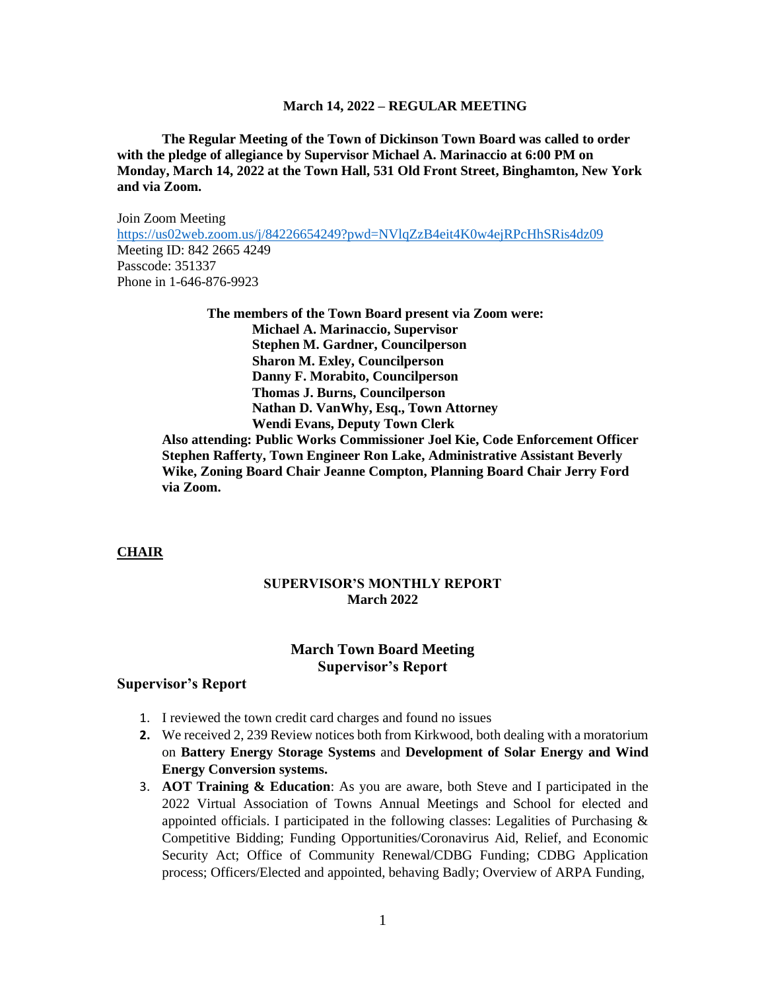**The Regular Meeting of the Town of Dickinson Town Board was called to order with the pledge of allegiance by Supervisor Michael A. Marinaccio at 6:00 PM on Monday, March 14, 2022 at the Town Hall, 531 Old Front Street, Binghamton, New York and via Zoom.**

Join Zoom Meeting <https://us02web.zoom.us/j/84226654249?pwd=NVlqZzB4eit4K0w4ejRPcHhSRis4dz09> Meeting ID: 842 2665 4249 Passcode: 351337 Phone in 1-646-876-9923

> **The members of the Town Board present via Zoom were: Michael A. Marinaccio, Supervisor Stephen M. Gardner, Councilperson Sharon M. Exley, Councilperson Danny F. Morabito, Councilperson Thomas J. Burns, Councilperson Nathan D. VanWhy, Esq., Town Attorney Wendi Evans, Deputy Town Clerk**

**Also attending: Public Works Commissioner Joel Kie, Code Enforcement Officer Stephen Rafferty, Town Engineer Ron Lake, Administrative Assistant Beverly Wike, Zoning Board Chair Jeanne Compton, Planning Board Chair Jerry Ford via Zoom.**

#### **CHAIR**

### **SUPERVISOR'S MONTHLY REPORT March 2022**

# **March Town Board Meeting Supervisor's Report**

#### **Supervisor's Report**

- 1. I reviewed the town credit card charges and found no issues
- **2.** We received 2, 239 Review notices both from Kirkwood, both dealing with a moratorium on **Battery Energy Storage Systems** and **Development of Solar Energy and Wind Energy Conversion systems.**
- 3. **AOT Training & Education**: As you are aware, both Steve and I participated in the 2022 Virtual Association of Towns Annual Meetings and School for elected and appointed officials. I participated in the following classes: Legalities of Purchasing & Competitive Bidding; Funding Opportunities/Coronavirus Aid, Relief, and Economic Security Act; Office of Community Renewal/CDBG Funding; CDBG Application process; Officers/Elected and appointed, behaving Badly; Overview of ARPA Funding,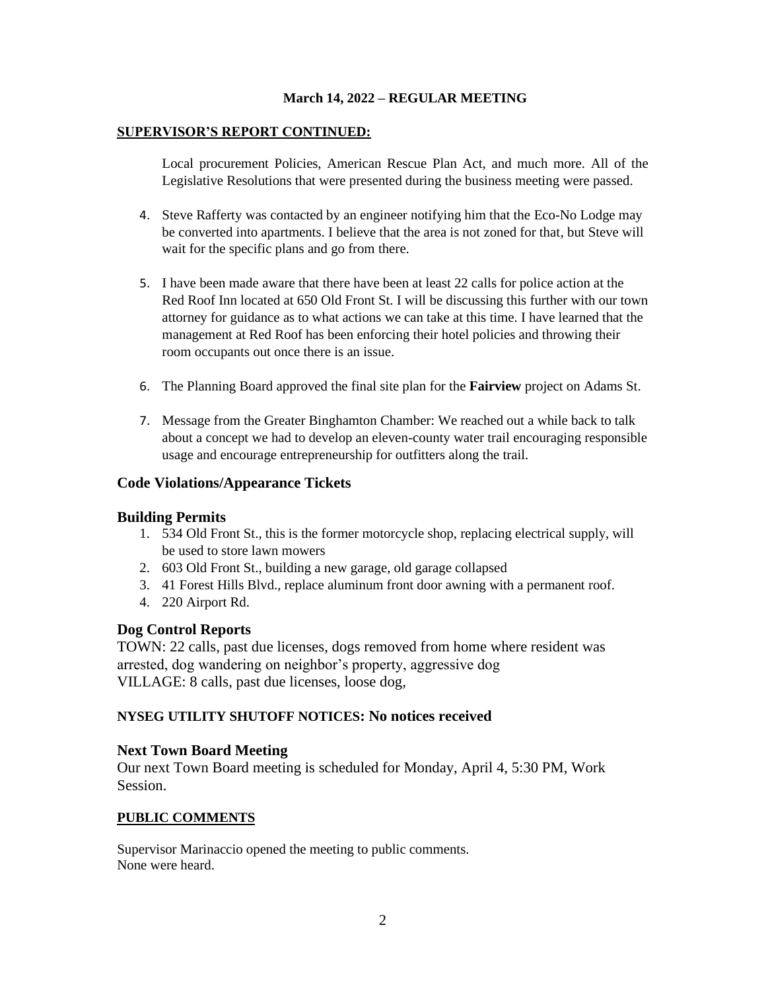### **SUPERVISOR'S REPORT CONTINUED:**

Local procurement Policies, American Rescue Plan Act, and much more. All of the Legislative Resolutions that were presented during the business meeting were passed.

- 4. Steve Rafferty was contacted by an engineer notifying him that the Eco-No Lodge may be converted into apartments. I believe that the area is not zoned for that, but Steve will wait for the specific plans and go from there.
- 5. I have been made aware that there have been at least 22 calls for police action at the Red Roof Inn located at 650 Old Front St. I will be discussing this further with our town attorney for guidance as to what actions we can take at this time. I have learned that the management at Red Roof has been enforcing their hotel policies and throwing their room occupants out once there is an issue.
- 6. The Planning Board approved the final site plan for the **Fairview** project on Adams St.
- 7. Message from the Greater Binghamton Chamber: We reached out a while back to talk about a concept we had to develop an eleven-county water trail encouraging responsible usage and encourage entrepreneurship for outfitters along the trail.

## **Code Violations/Appearance Tickets**

### **Building Permits**

- 1. 534 Old Front St., this is the former motorcycle shop, replacing electrical supply, will be used to store lawn mowers
- 2. 603 Old Front St., building a new garage, old garage collapsed
- 3. 41 Forest Hills Blvd., replace aluminum front door awning with a permanent roof.
- 4. 220 Airport Rd.

## **Dog Control Reports**

TOWN: 22 calls, past due licenses, dogs removed from home where resident was arrested, dog wandering on neighbor's property, aggressive dog VILLAGE: 8 calls, past due licenses, loose dog,

## **NYSEG UTILITY SHUTOFF NOTICES: No notices received**

## **Next Town Board Meeting**

Our next Town Board meeting is scheduled for Monday, April 4, 5:30 PM, Work Session.

### **PUBLIC COMMENTS**

Supervisor Marinaccio opened the meeting to public comments. None were heard.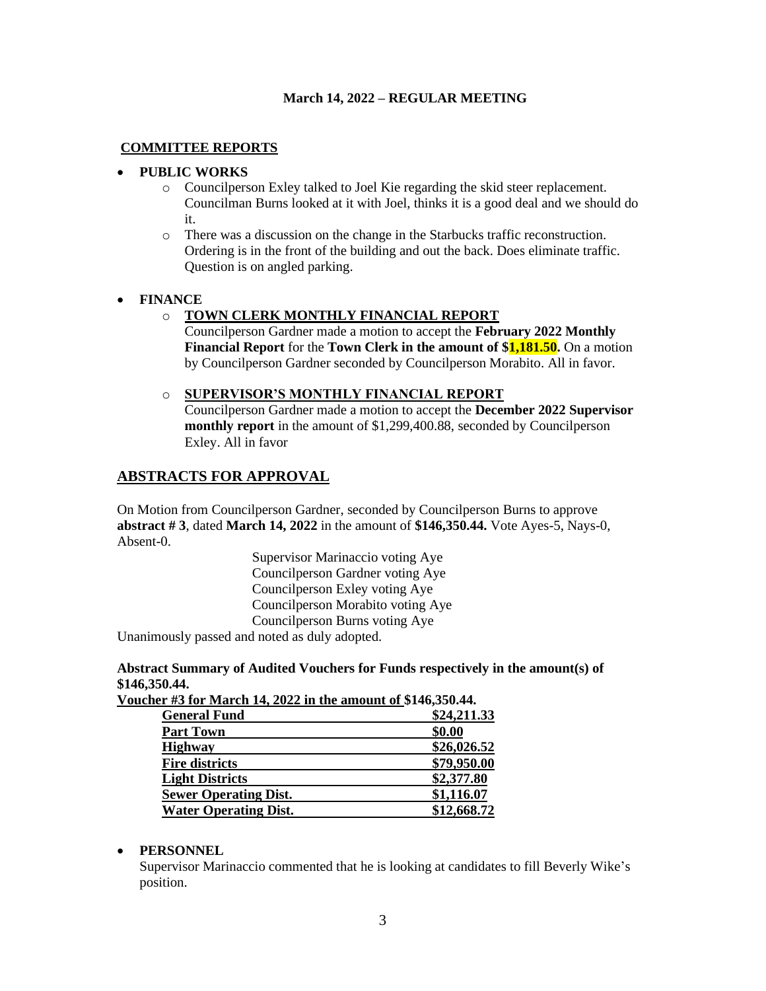## **COMMITTEE REPORTS**

## • **PUBLIC WORKS**

- o Councilperson Exley talked to Joel Kie regarding the skid steer replacement. Councilman Burns looked at it with Joel, thinks it is a good deal and we should do it.
- o There was a discussion on the change in the Starbucks traffic reconstruction. Ordering is in the front of the building and out the back. Does eliminate traffic. Question is on angled parking.

### • **FINANCE**

## o **TOWN CLERK MONTHLY FINANCIAL REPORT**

Councilperson Gardner made a motion to accept the **February 2022 Monthly Financial Report** for the **Town Clerk in the amount of \$1,181.50.** On a motion by Councilperson Gardner seconded by Councilperson Morabito. All in favor.

#### o **SUPERVISOR'S MONTHLY FINANCIAL REPORT**

Councilperson Gardner made a motion to accept the **December 2022 Supervisor monthly report** in the amount of \$1,299,400.88, seconded by Councilperson Exley. All in favor

## **ABSTRACTS FOR APPROVAL**

On Motion from Councilperson Gardner, seconded by Councilperson Burns to approve **abstract # 3**, dated **March 14, 2022** in the amount of **\$146,350.44.** Vote Ayes-5, Nays-0, Absent-0.

> Supervisor Marinaccio voting Aye Councilperson Gardner voting Aye Councilperson Exley voting Aye Councilperson Morabito voting Aye Councilperson Burns voting Aye

Unanimously passed and noted as duly adopted.

**Abstract Summary of Audited Vouchers for Funds respectively in the amount(s) of \$146,350.44.**

**Voucher #3 for March 14, 2022 in the amount of \$146,350.44.** 

| <b>General Fund</b>          | \$24,211.33 |
|------------------------------|-------------|
| <b>Part Town</b>             | \$0.00      |
| <b>Highway</b>               | \$26,026.52 |
| <b>Fire districts</b>        | \$79,950.00 |
| <b>Light Districts</b>       | \$2,377.80  |
| <b>Sewer Operating Dist.</b> | \$1,116.07  |
| <b>Water Operating Dist.</b> | \$12,668.72 |

### • **PERSONNEL**

Supervisor Marinaccio commented that he is looking at candidates to fill Beverly Wike's position.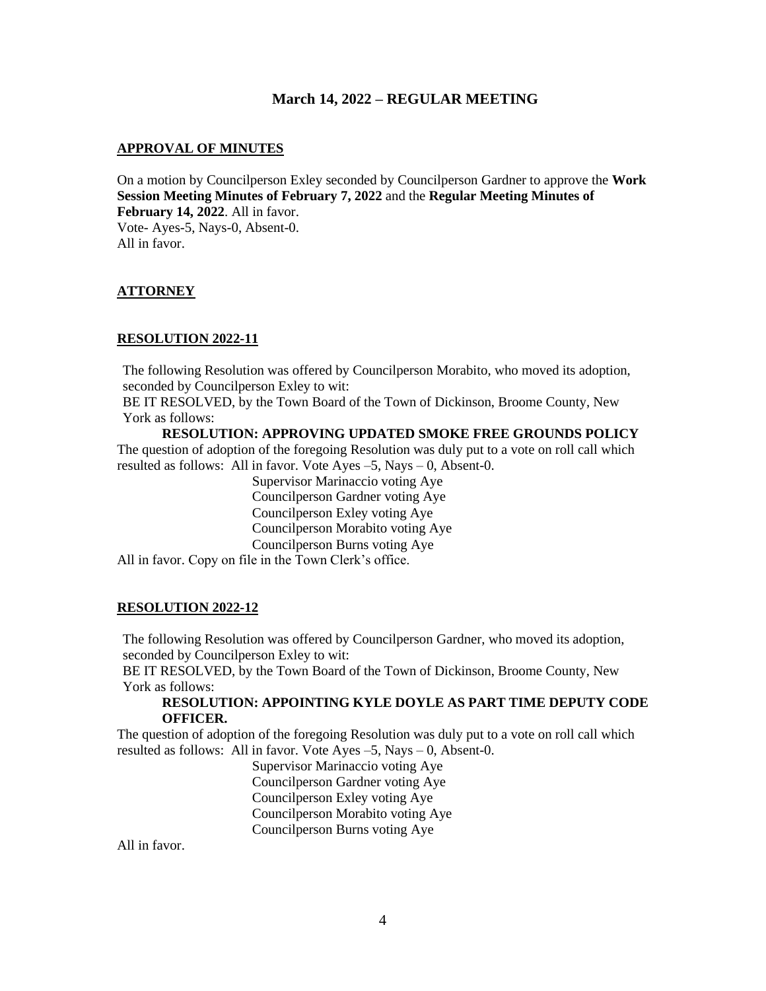#### **APPROVAL OF MINUTES**

On a motion by Councilperson Exley seconded by Councilperson Gardner to approve the **Work Session Meeting Minutes of February 7, 2022** and the **Regular Meeting Minutes of February 14, 2022**. All in favor. Vote- Ayes-5, Nays-0, Absent-0. All in favor.

### **ATTORNEY**

#### **RESOLUTION 2022-11**

The following Resolution was offered by Councilperson Morabito, who moved its adoption, seconded by Councilperson Exley to wit:

BE IT RESOLVED, by the Town Board of the Town of Dickinson, Broome County, New York as follows:

**RESOLUTION: APPROVING UPDATED SMOKE FREE GROUNDS POLICY**  The question of adoption of the foregoing Resolution was duly put to a vote on roll call which resulted as follows: All in favor. Vote Ayes  $-5$ , Nays  $-0$ , Absent-0.

> Supervisor Marinaccio voting Aye Councilperson Gardner voting Aye Councilperson Exley voting Aye Councilperson Morabito voting Aye Councilperson Burns voting Aye

All in favor. Copy on file in the Town Clerk's office.

### **RESOLUTION 2022-12**

The following Resolution was offered by Councilperson Gardner, who moved its adoption, seconded by Councilperson Exley to wit:

BE IT RESOLVED, by the Town Board of the Town of Dickinson, Broome County, New York as follows:

#### **RESOLUTION: APPOINTING KYLE DOYLE AS PART TIME DEPUTY CODE OFFICER.**

The question of adoption of the foregoing Resolution was duly put to a vote on roll call which resulted as follows: All in favor. Vote Ayes –5, Nays – 0, Absent-0.

> Supervisor Marinaccio voting Aye Councilperson Gardner voting Aye Councilperson Exley voting Aye Councilperson Morabito voting Aye Councilperson Burns voting Aye

All in favor.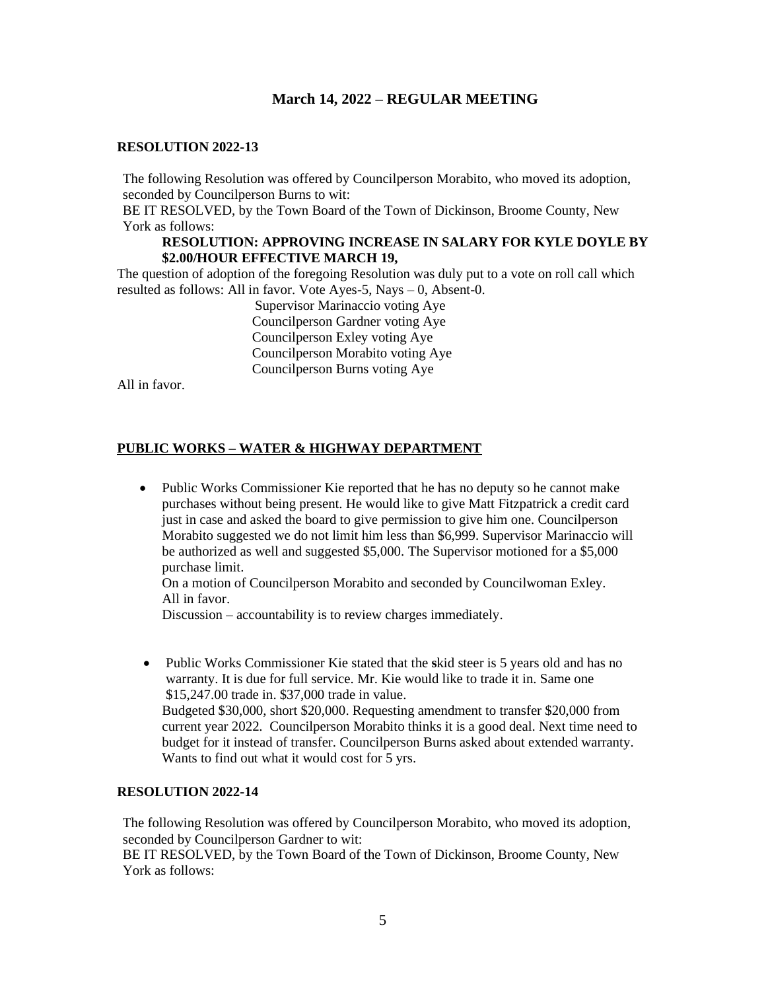#### **RESOLUTION 2022-13**

The following Resolution was offered by Councilperson Morabito, who moved its adoption, seconded by Councilperson Burns to wit:

BE IT RESOLVED, by the Town Board of the Town of Dickinson, Broome County, New York as follows:

#### **RESOLUTION: APPROVING INCREASE IN SALARY FOR KYLE DOYLE BY \$2.00/HOUR EFFECTIVE MARCH 19,**

The question of adoption of the foregoing Resolution was duly put to a vote on roll call which resulted as follows: All in favor. Vote Ayes-5, Nays – 0, Absent-0.

> Supervisor Marinaccio voting Aye Councilperson Gardner voting Aye Councilperson Exley voting Aye Councilperson Morabito voting Aye Councilperson Burns voting Aye

All in favor.

### **PUBLIC WORKS – WATER & HIGHWAY DEPARTMENT**

• Public Works Commissioner Kie reported that he has no deputy so he cannot make purchases without being present. He would like to give Matt Fitzpatrick a credit card just in case and asked the board to give permission to give him one. Councilperson Morabito suggested we do not limit him less than \$6,999. Supervisor Marinaccio will be authorized as well and suggested \$5,000. The Supervisor motioned for a \$5,000 purchase limit.

On a motion of Councilperson Morabito and seconded by Councilwoman Exley. All in favor.

Discussion – accountability is to review charges immediately.

• Public Works Commissioner Kie stated that the **s**kid steer is 5 years old and has no warranty. It is due for full service. Mr. Kie would like to trade it in. Same one \$15,247.00 trade in. \$37,000 trade in value. Budgeted \$30,000, short \$20,000. Requesting amendment to transfer \$20,000 from current year 2022. Councilperson Morabito thinks it is a good deal. Next time need to budget for it instead of transfer. Councilperson Burns asked about extended warranty. Wants to find out what it would cost for 5 yrs.

#### **RESOLUTION 2022-14**

The following Resolution was offered by Councilperson Morabito, who moved its adoption, seconded by Councilperson Gardner to wit:

BE IT RESOLVED, by the Town Board of the Town of Dickinson, Broome County, New York as follows: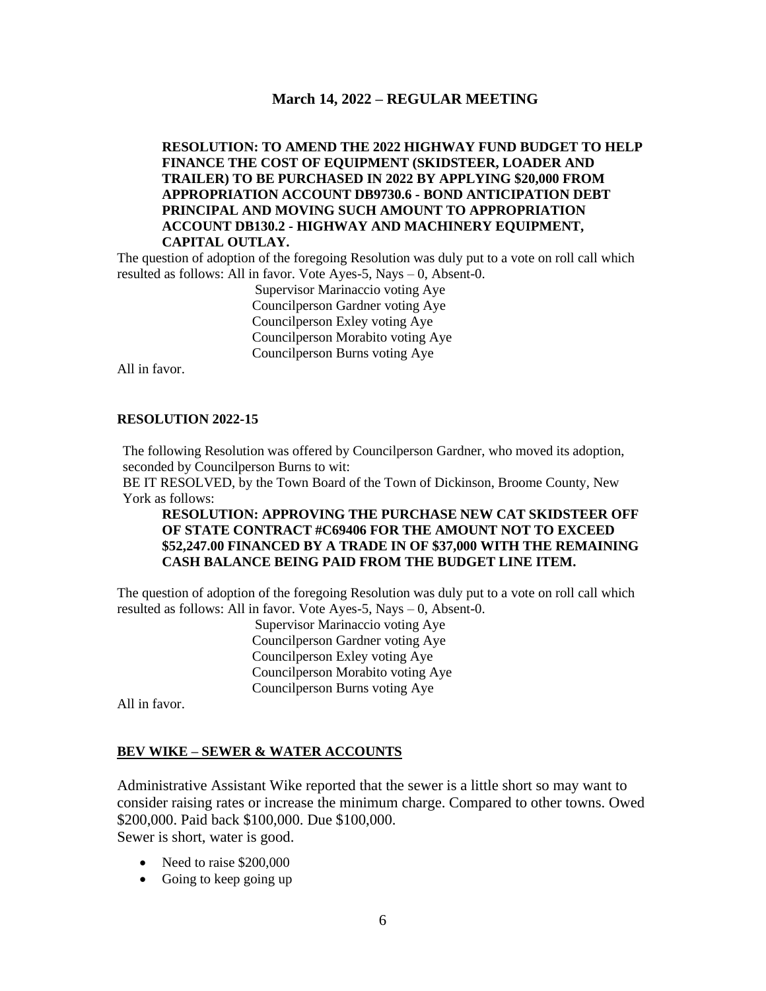### **RESOLUTION: TO AMEND THE 2022 HIGHWAY FUND BUDGET TO HELP FINANCE THE COST OF EQUIPMENT (SKIDSTEER, LOADER AND TRAILER) TO BE PURCHASED IN 2022 BY APPLYING \$20,000 FROM APPROPRIATION ACCOUNT DB9730.6 - BOND ANTICIPATION DEBT PRINCIPAL AND MOVING SUCH AMOUNT TO APPROPRIATION ACCOUNT DB130.2 - HIGHWAY AND MACHINERY EQUIPMENT, CAPITAL OUTLAY.**

The question of adoption of the foregoing Resolution was duly put to a vote on roll call which resulted as follows: All in favor. Vote Ayes-5, Nays – 0, Absent-0.

> Supervisor Marinaccio voting Aye Councilperson Gardner voting Aye Councilperson Exley voting Aye Councilperson Morabito voting Aye Councilperson Burns voting Aye

All in favor.

#### **RESOLUTION 2022-15**

The following Resolution was offered by Councilperson Gardner, who moved its adoption, seconded by Councilperson Burns to wit:

BE IT RESOLVED, by the Town Board of the Town of Dickinson, Broome County, New York as follows:

### **RESOLUTION: APPROVING THE PURCHASE NEW CAT SKIDSTEER OFF OF STATE CONTRACT #C69406 FOR THE AMOUNT NOT TO EXCEED \$52,247.00 FINANCED BY A TRADE IN OF \$37,000 WITH THE REMAINING CASH BALANCE BEING PAID FROM THE BUDGET LINE ITEM.**

The question of adoption of the foregoing Resolution was duly put to a vote on roll call which resulted as follows: All in favor. Vote Ayes-5, Nays – 0, Absent-0.

> Supervisor Marinaccio voting Aye Councilperson Gardner voting Aye Councilperson Exley voting Aye Councilperson Morabito voting Aye Councilperson Burns voting Aye

All in favor.

#### **BEV WIKE – SEWER & WATER ACCOUNTS**

Administrative Assistant Wike reported that the sewer is a little short so may want to consider raising rates or increase the minimum charge. Compared to other towns. Owed \$200,000. Paid back \$100,000. Due \$100,000. Sewer is short, water is good.

- Need to raise \$200,000
- Going to keep going up